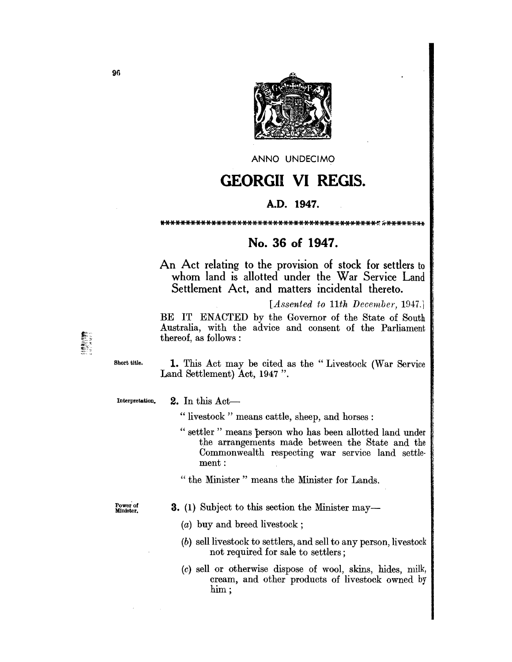

ANNO UNDECIMO

## **GEORGII VI REGIS.**

## A.D. 1947.

\*\*\*\*\*\*\*\*\*\*\*\*\*\*\*\*\*\*\*\*\*\*\*\*\*\*\*\*\*\*

## No. 36 of 1947.

An Act relating to the provision of stock for settlers to whom land is allotted under the War Service Land Settlement Act, and matters incidental thereto.

[Assented to 11th December, 1947.]

BE IT ENACTED by the Governor of the State of South Australia, with the advice and consent of the Parliament thereof, as follows:

Short title.

1. This Act may be cited as the "Livestock (War Service Land Settlement) Act, 1947".

Interpretation.

2. In this Act-

"livestock" means cattle, sheep, and horses:

" settler" means person who has been allotted land under the arrangements made between the State and the Commonwealth respecting war service land settlement:

" the Minister" means the Minister for Lands.

Power of<br>Minister.

- 3. (1) Subject to this section the Minister may-
	- $(a)$  buy and breed livestock;
	- (b) sell livestock to settlers, and sell to any person, livestock not required for sale to settlers;
	- (c) sell or otherwise dispose of wool, skins, hides, milk, cream, and other products of livestock owned by  $\lim:$